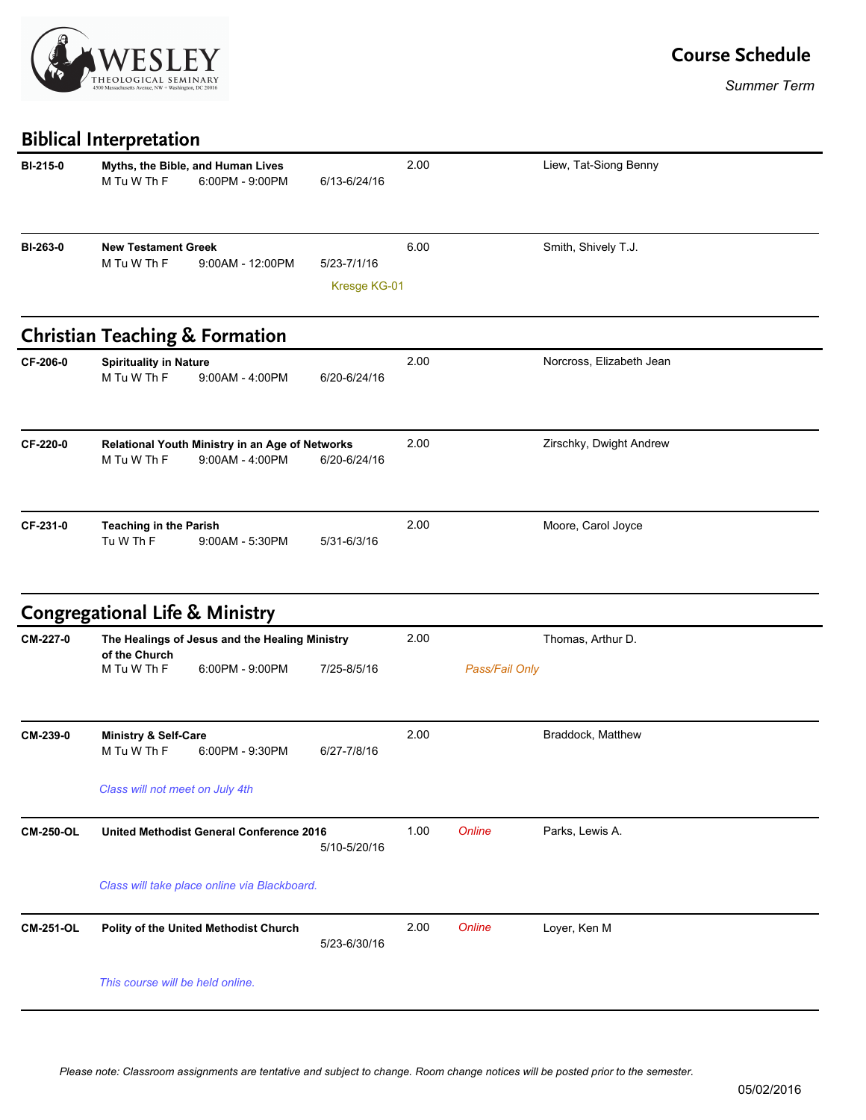

## **Course Schedule**

*Summer Term*

## **Biblical Interpretation**

| <b>BI-215-0</b>  | M Tu W Th F                                                     | Myths, the Bible, and Human Lives<br>6:00PM - 9:00PM               | 6/13-6/24/16                | 2.00 |                   | Liew, Tat-Siong Benny    |  |  |
|------------------|-----------------------------------------------------------------|--------------------------------------------------------------------|-----------------------------|------|-------------------|--------------------------|--|--|
| BI-263-0         | <b>New Testament Greek</b><br>M Tu W Th F                       | 9:00AM - 12:00PM                                                   | 5/23-7/1/16<br>Kresge KG-01 | 6.00 |                   | Smith, Shively T.J.      |  |  |
|                  |                                                                 | <b>Christian Teaching &amp; Formation</b>                          |                             |      |                   |                          |  |  |
| CF-206-0         | <b>Spirituality in Nature</b><br>M Tu W Th F                    | $9:00AM - 4:00PM$                                                  | 6/20-6/24/16                | 2.00 |                   | Norcross, Elizabeth Jean |  |  |
| CF-220-0         | M Tu W Th F                                                     | Relational Youth Ministry in an Age of Networks<br>9:00AM - 4:00PM | 6/20-6/24/16                | 2.00 |                   | Zirschky, Dwight Andrew  |  |  |
| CF-231-0         | <b>Teaching in the Parish</b><br>Tu W Th F                      | $9:00AM - 5:30PM$                                                  | 5/31-6/3/16                 | 2.00 |                   | Moore, Carol Joyce       |  |  |
|                  | <b>Congregational Life &amp; Ministry</b>                       |                                                                    |                             |      |                   |                          |  |  |
| CM-227-0         | The Healings of Jesus and the Healing Ministry<br>of the Church |                                                                    | 2.00                        |      | Thomas, Arthur D. |                          |  |  |
|                  | M Tu W Th F                                                     | 6:00PM - 9:00PM                                                    | 7/25-8/5/16                 |      | Pass/Fail Only    |                          |  |  |
| CM-239-0         | <b>Ministry &amp; Self-Care</b><br>M Tu W Th F                  | 6:00PM - 9:30PM                                                    | 6/27-7/8/16                 | 2.00 |                   | Braddock, Matthew        |  |  |
|                  | Class will not meet on July 4th                                 |                                                                    |                             |      |                   |                          |  |  |
| <b>CM-250-OL</b> |                                                                 | United Methodist General Conference 2016                           | 5/10-5/20/16                | 1.00 | Online            | Parks, Lewis A.          |  |  |
|                  | Class will take place online via Blackboard.                    |                                                                    |                             |      |                   |                          |  |  |
| <b>CM-251-OL</b> |                                                                 | Polity of the United Methodist Church                              | 5/23-6/30/16                | 2.00 | Online            | Loyer, Ken M             |  |  |
|                  | This course will be held online.                                |                                                                    |                             |      |                   |                          |  |  |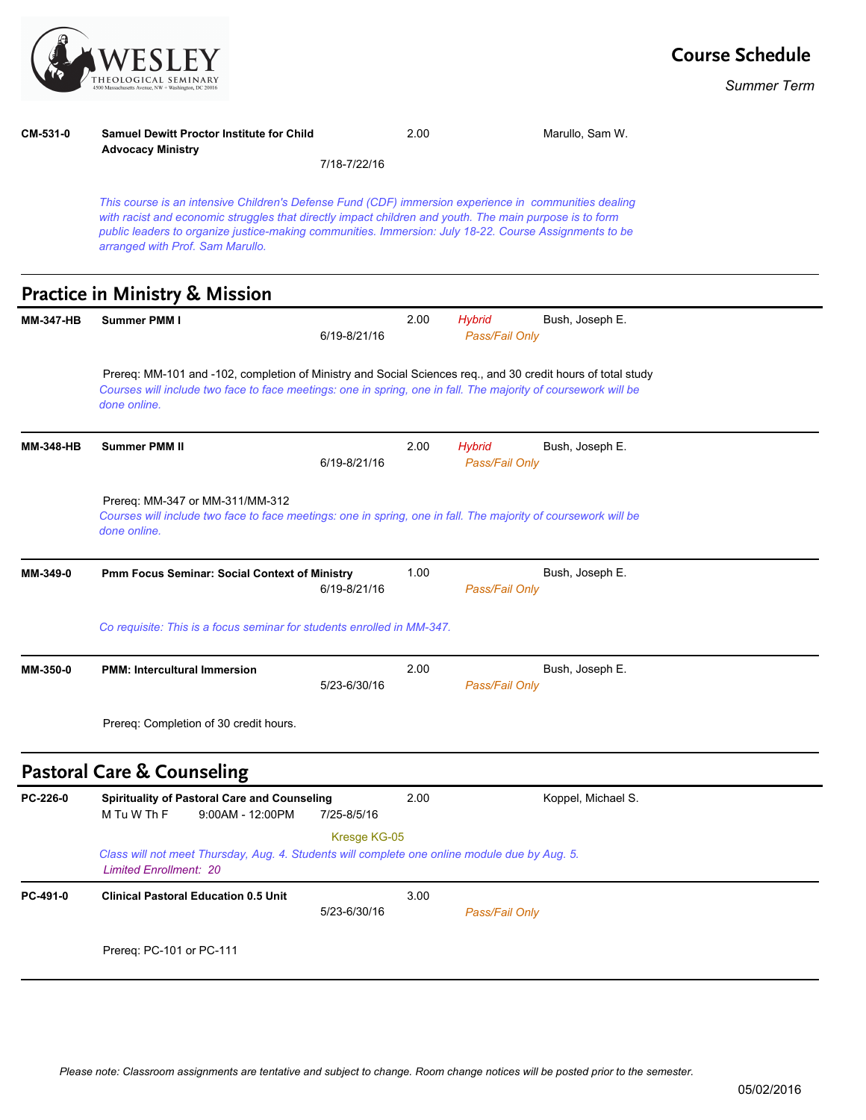

*Summer Term*

## **CM-531-0 Samuel Dewitt Proctor Institute for Child Advocacy Ministry** 2.00 Marullo, Sam W. 7/18-7/22/16

*This course is an intensive Children's Defense Fund (CDF) immersion experience in communities dealing with racist and economic struggles that directly impact children and youth. The main purpose is to form public leaders to organize justice-making communities. Immersion: July 18-22. Course Assignments to be arranged with Prof. Sam Marullo.*

## **Practice in Ministry & Mission**

| <b>MM-347-HB</b> | <b>Summer PMM I</b>                                                                                                                                                                                                                            | 6/19-8/21/16 | 2.00 | <b>Hybrid</b><br>Pass/Fail Only | Bush, Joseph E.    |  |  |  |
|------------------|------------------------------------------------------------------------------------------------------------------------------------------------------------------------------------------------------------------------------------------------|--------------|------|---------------------------------|--------------------|--|--|--|
|                  | Prereq: MM-101 and -102, completion of Ministry and Social Sciences req., and 30 credit hours of total study<br>Courses will include two face to face meetings: one in spring, one in fall. The majority of coursework will be<br>done online. |              |      |                                 |                    |  |  |  |
| <b>MM-348-HB</b> | <b>Summer PMM II</b>                                                                                                                                                                                                                           | 6/19-8/21/16 | 2.00 | <b>Hybrid</b><br>Pass/Fail Only | Bush, Joseph E.    |  |  |  |
|                  | Prereq: MM-347 or MM-311/MM-312<br>Courses will include two face to face meetings: one in spring, one in fall. The majority of coursework will be<br>done online.                                                                              |              |      |                                 |                    |  |  |  |
| MM-349-0         | Pmm Focus Seminar: Social Context of Ministry                                                                                                                                                                                                  | 6/19-8/21/16 | 1.00 | Pass/Fail Only                  | Bush, Joseph E.    |  |  |  |
|                  | Co requisite: This is a focus seminar for students enrolled in MM-347.                                                                                                                                                                         |              |      |                                 |                    |  |  |  |
| MM-350-0         | <b>PMM: Intercultural Immersion</b>                                                                                                                                                                                                            | 5/23-6/30/16 | 2.00 | Pass/Fail Only                  | Bush, Joseph E.    |  |  |  |
|                  | Prereg: Completion of 30 credit hours.                                                                                                                                                                                                         |              |      |                                 |                    |  |  |  |
|                  | <b>Pastoral Care &amp; Counseling</b>                                                                                                                                                                                                          |              |      |                                 |                    |  |  |  |
| PC-226-0         | <b>Spirituality of Pastoral Care and Counseling</b><br>M Tu W Th F<br>$9:00AM - 12:00PM$                                                                                                                                                       | 7/25-8/5/16  | 2.00 |                                 | Koppel, Michael S. |  |  |  |
|                  | Kresge KG-05<br>Class will not meet Thursday, Aug. 4. Students will complete one online module due by Aug. 5.<br><b>Limited Enrollment: 20</b>                                                                                                 |              |      |                                 |                    |  |  |  |
| PC-491-0         | <b>Clinical Pastoral Education 0.5 Unit</b>                                                                                                                                                                                                    | 5/23-6/30/16 | 3.00 | Pass/Fail Only                  |                    |  |  |  |
|                  | Prereq: PC-101 or PC-111                                                                                                                                                                                                                       |              |      |                                 |                    |  |  |  |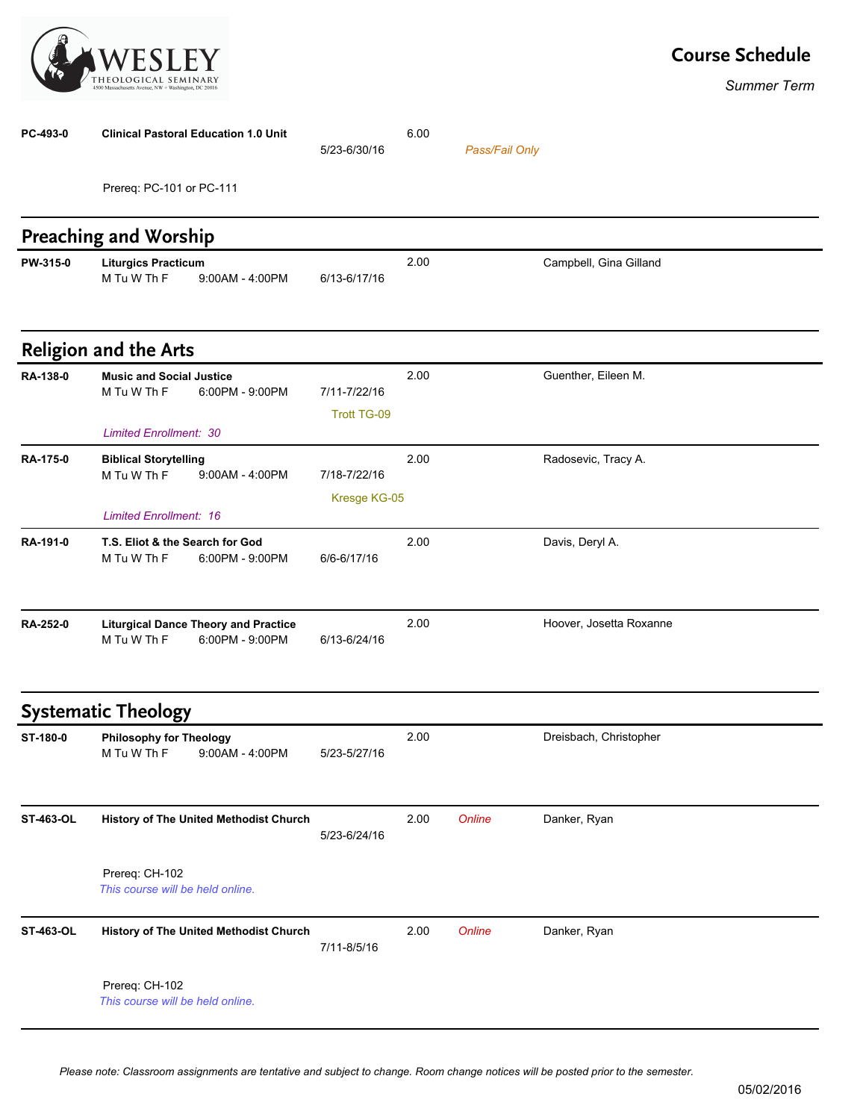

*Summer Term*

| PC-493-0         | <b>Clinical Pastoral Education 1.0 Unit</b>                                     |                                        | 5/23-6/30/16                       | 6.00 | Pass/Fail Only |                         |
|------------------|---------------------------------------------------------------------------------|----------------------------------------|------------------------------------|------|----------------|-------------------------|
|                  | Prereq: PC-101 or PC-111                                                        |                                        |                                    |      |                |                         |
|                  | <b>Preaching and Worship</b>                                                    |                                        |                                    |      |                |                         |
| PW-315-0         | <b>Liturgics Practicum</b><br>M Tu W Th F                                       | $9:00AM - 4:00PM$                      | 6/13-6/17/16                       | 2.00 |                | Campbell, Gina Gilland  |
|                  | <b>Religion and the Arts</b>                                                    |                                        |                                    |      |                |                         |
| RA-138-0         | <b>Music and Social Justice</b><br>M Tu W Th F<br><b>Limited Enrollment: 30</b> | 6:00PM - 9:00PM                        | 7/11-7/22/16<br><b>Trott TG-09</b> | 2.00 |                | Guenther, Eileen M.     |
| <b>RA-175-0</b>  | <b>Biblical Storytelling</b><br>M Tu W Th F<br><b>Limited Enrollment: 16</b>    | 9:00AM - 4:00PM                        | 7/18-7/22/16<br>Kresge KG-05       | 2.00 |                | Radosevic, Tracy A.     |
| RA-191-0         | T.S. Eliot & the Search for God<br>M Tu W Th F                                  | 6:00PM - 9:00PM                        | 6/6-6/17/16                        | 2.00 |                | Davis, Deryl A.         |
| RA-252-0         | <b>Liturgical Dance Theory and Practice</b><br>M Tu W Th F                      | 6:00PM - 9:00PM                        | 6/13-6/24/16                       | 2.00 |                | Hoover, Josetta Roxanne |
|                  | <b>Systematic Theology</b>                                                      |                                        |                                    |      |                |                         |
| ST-180-0         | <b>Philosophy for Theology</b><br>M Tu W Th F                                   | 9:00AM - 4:00PM                        | 5/23-5/27/16                       | 2.00 |                | Dreisbach, Christopher  |
| <b>ST-463-OL</b> |                                                                                 | History of The United Methodist Church | 5/23-6/24/16                       | 2.00 | Online         | Danker, Ryan            |
|                  | Prereq: CH-102<br>This course will be held online.                              |                                        |                                    |      |                |                         |
| <b>ST-463-OL</b> |                                                                                 | History of The United Methodist Church | 7/11-8/5/16                        | 2.00 | Online         | Danker, Ryan            |
|                  | Prereq: CH-102<br>This course will be held online.                              |                                        |                                    |      |                |                         |